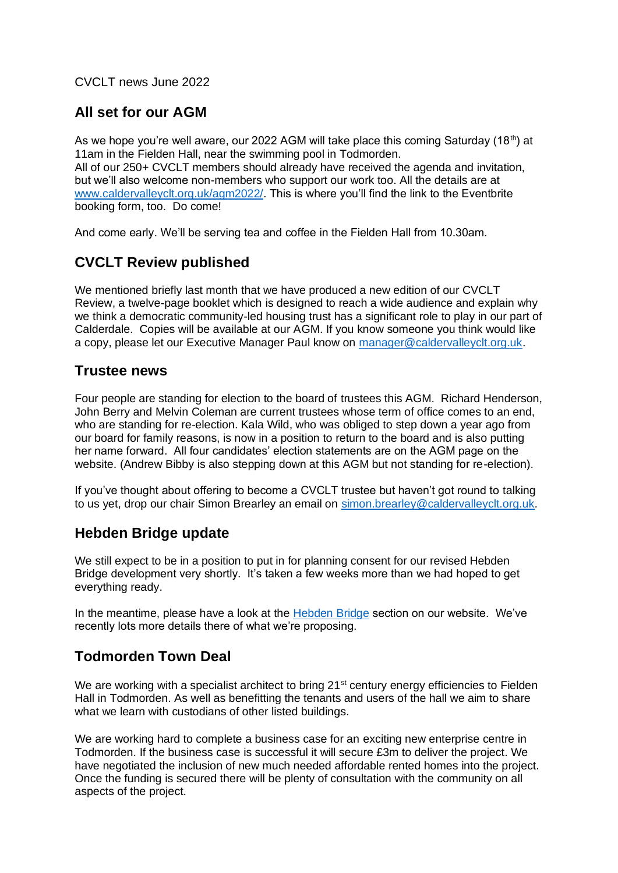CVCLT news June 2022

## **All set for our AGM**

As we hope you're well aware, our 2022 AGM will take place this coming Saturday (18<sup>th</sup>) at 11am in the Fielden Hall, near the swimming pool in Todmorden. All of our 250+ CVCLT members should already have received the agenda and invitation, but we'll also welcome non-members who support our work too. All the details are at [www.caldervalleyclt.org.uk/agm2022/.](http://www.caldervalleyclt.org.uk/agm2022/) This is where you'll find the link to the Eventbrite booking form, too. Do come!

And come early. We'll be serving tea and coffee in the Fielden Hall from 10.30am.

## **CVCLT Review published**

We mentioned briefly last month that we have produced a new edition of our CVCLT Review, a twelve-page booklet which is designed to reach a wide audience and explain why we think a democratic community-led housing trust has a significant role to play in our part of Calderdale. Copies will be available at our AGM. If you know someone you think would like a copy, please let our Executive Manager Paul know on [manager@caldervalleyclt.org.uk.](mailto:manager@caldervalleyclt.org.uk)

#### **Trustee news**

Four people are standing for election to the board of trustees this AGM. Richard Henderson, John Berry and Melvin Coleman are current trustees whose term of office comes to an end, who are standing for re-election. Kala Wild, who was obliged to step down a year ago from our board for family reasons, is now in a position to return to the board and is also putting her name forward. All four candidates' election statements are on the AGM page on the website. (Andrew Bibby is also stepping down at this AGM but not standing for re-election).

If you've thought about offering to become a CVCLT trustee but haven't got round to talking to us yet, drop our chair Simon Brearley an email on [simon.brearley@caldervalleyclt.org.uk.](mailto:simon.brearley@caldervalleyclt.org.uk)

#### **Hebden Bridge update**

We still expect to be in a position to put in for planning consent for our revised Hebden Bridge development very shortly. It's taken a few weeks more than we had hoped to get everything ready.

In the meantime, please have a look at the [Hebden Bridge](https://caldervalleyclt.org.uk/hebden-bridge-2022/) section on our website. We've recently lots more details there of what we're proposing.

#### **Todmorden Town Deal**

We are working with a specialist architect to bring 21<sup>st</sup> century energy efficiencies to Fielden Hall in Todmorden. As well as benefitting the tenants and users of the hall we aim to share what we learn with custodians of other listed buildings.

We are working hard to complete a business case for an exciting new enterprise centre in Todmorden. If the business case is successful it will secure £3m to deliver the project. We have negotiated the inclusion of new much needed affordable rented homes into the project. Once the funding is secured there will be plenty of consultation with the community on all aspects of the project.